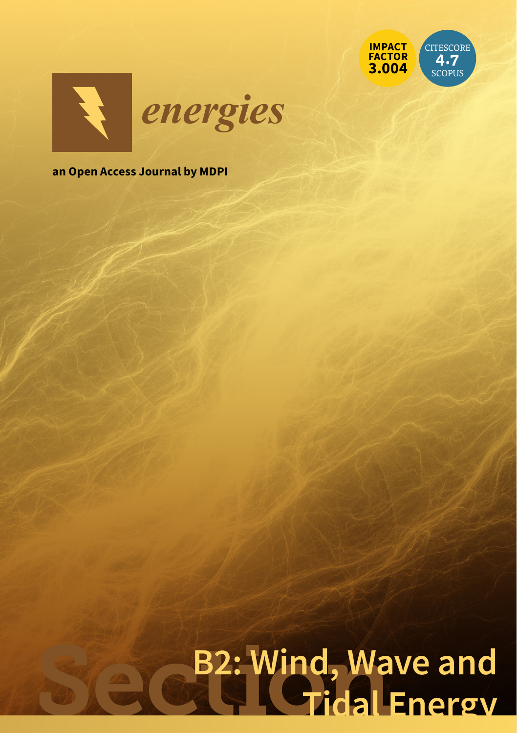



**an Open Access Journal by MDPI**

# B2: Wind, Wave and **Tidal Energy**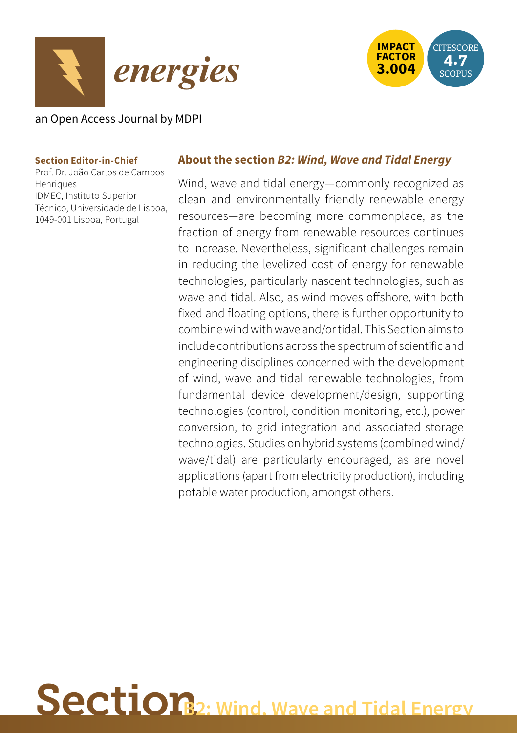



# an Open Access Journal by MDPI

#### **Section Editor-in-Chief**

Prof. Dr. João Carlos de Campos Henriques IDMEC, Instituto Superior Técnico, Universidade de Lisboa, 1049-001 Lisboa, Portugal

# **About the section** *B2: Wind, Wave and Tidal Energy*

Wind, wave and tidal energy—commonly recognized as clean and environmentally friendly renewable energy resources—are becoming more commonplace, as the fraction of energy from renewable resources continues to increase. Nevertheless, significant challenges remain in reducing the levelized cost of energy for renewable technologies, particularly nascent technologies, such as wave and tidal. Also, as wind moves offshore, with both fixed and floating options, there is further opportunity to combine wind with wave and/or tidal. This Section aims to include contributions across the spectrum of scientific and engineering disciplines concerned with the development of wind, wave and tidal renewable technologies, from fundamental device development/design, supporting technologies (control, condition monitoring, etc.), power conversion, to grid integration and associated storage technologies. Studies on hybrid systems (combined wind/ wave/tidal) are particularly encouraged, as are novel applications (apart from electricity production), including potable water production, amongst others.

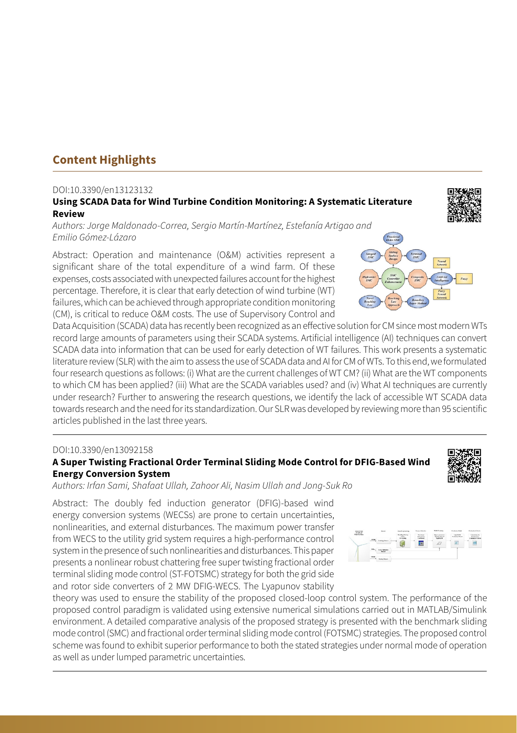# **Content Highlights**

#### DOI:10.3390/en13123132

#### **Using SCADA Data for Wind Turbine Condition Monitoring: A Systematic Literature Review**

*Authors: Jorge Maldonado-Correa, Sergio Martín-Martínez, Estefanía Artigao and Emilio Gómez-Lázaro*

Abstract: Operation and maintenance (O&M) activities represent a significant share of the total expenditure of a wind farm. Of these expenses, costs associated with unexpected failures account for the highest percentage. Therefore, it is clear that early detection of wind turbine (WT) failures, which can be achieved through appropriate condition monitoring (CM), is critical to reduce O&M costs. The use of Supervisory Control and

Data Acquisition (SCADA) data has recently been recognized as an effective solution for CM since most modern WTs record large amounts of parameters using their SCADA systems. Artificial intelligence (AI) techniques can convert SCADA data into information that can be used for early detection of WT failures. This work presents a systematic literature review (SLR) with the aim to assess the use of SCADA data and AI for CM of WTs. To this end, we formulated four research questions as follows: (i) What are the current challenges of WT CM? (ii) What are the WT components to which CM has been applied? (iii) What are the SCADA variables used? and (iv) What AI techniques are currently under research? Further to answering the research questions, we identify the lack of accessible WT SCADA data towards research and the need for its standardization. Our SLR was developed by reviewing more than 95 scientific articles published in the last three years.

#### DOI:10.3390/en13092158

#### **A Super Twisting Fractional Order Terminal Sliding Mode Control for DFIG-Based Wind Energy Conversion System**

*Authors: Irfan Sami, Shafaat Ullah, Zahoor Ali, Nasim Ullah and Jong-Suk Ro*

Abstract: The doubly fed induction generator (DFIG)-based wind energy conversion systems (WECSs) are prone to certain uncertainties, nonlinearities, and external disturbances. The maximum power transfer from WECS to the utility grid system requires a high-performance control system in the presence of such nonlinearities and disturbances. This paper presents a nonlinear robust chattering free super twisting fractional order terminal sliding mode control (ST-FOTSMC) strategy for both the grid side and rotor side converters of 2 MW DFIG-WECS. The Lyapunov stability

theory was used to ensure the stability of the proposed closed-loop control system. The performance of the proposed control paradigm is validated using extensive numerical simulations carried out in MATLAB/Simulink environment. A detailed comparative analysis of the proposed strategy is presented with the benchmark sliding mode control (SMC) and fractional order terminal sliding mode control (FOTSMC) strategies. The proposed control scheme was found to exhibit superior performance to both the stated strategies under normal mode of operation as well as under lumped parametric uncertainties.







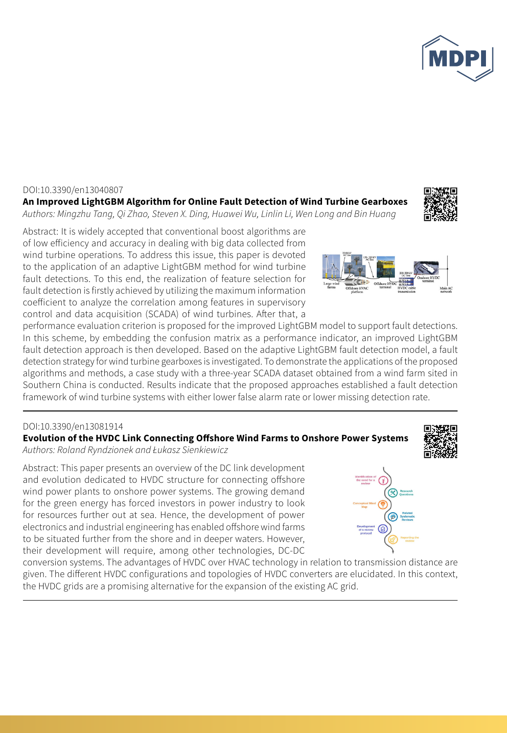

#### DOI:10.3390/en13040807

**An Improved LightGBM Algorithm for Online Fault Detection of Wind Turbine Gearboxes**  *Authors: Mingzhu Tang, Qi Zhao, Steven X. Ding, Huawei Wu, Linlin Li, Wen Long and Bin Huang* 



Abstract: It is widely accepted that conventional boost algorithms are of low efficiency and accuracy in dealing with big data collected from wind turbine operations. To address this issue, this paper is devoted to the application of an adaptive LightGBM method for wind turbine fault detections. To this end, the realization of feature selection for fault detection is firstly achieved by utilizing the maximum information coefficient to analyze the correlation among features in supervisory control and data acquisition (SCADA) of wind turbines. After that, a

performance evaluation criterion is proposed for the improved LightGBM model to support fault detections. In this scheme, by embedding the confusion matrix as a performance indicator, an improved LightGBM fault detection approach is then developed. Based on the adaptive LightGBM fault detection model, a fault detection strategy for wind turbine gearboxes is investigated. To demonstrate the applications of the proposed algorithms and methods, a case study with a three-year SCADA dataset obtained from a wind farm sited in Southern China is conducted. Results indicate that the proposed approaches established a fault detection framework of wind turbine systems with either lower false alarm rate or lower missing detection rate.

#### DOI:10.3390/en13081914

### **Evolution of the HVDC Link Connecting Offshore Wind Farms to Onshore Power Systems**

*Authors: Roland Ryndzionek and Łukasz Sienkiewicz*

Abstract: This paper presents an overview of the DC link development and evolution dedicated to HVDC structure for connecting offshore wind power plants to onshore power systems. The growing demand for the green energy has forced investors in power industry to look for resources further out at sea. Hence, the development of power electronics and industrial engineering has enabled offshore wind farms to be situated further from the shore and in deeper waters. However, their development will require, among other technologies, DC-DC





conversion systems. The advantages of HVDC over HVAC technology in relation to transmission distance are given. The different HVDC configurations and topologies of HVDC converters are elucidated. In this context, the HVDC grids are a promising alternative for the expansion of the existing AC grid.

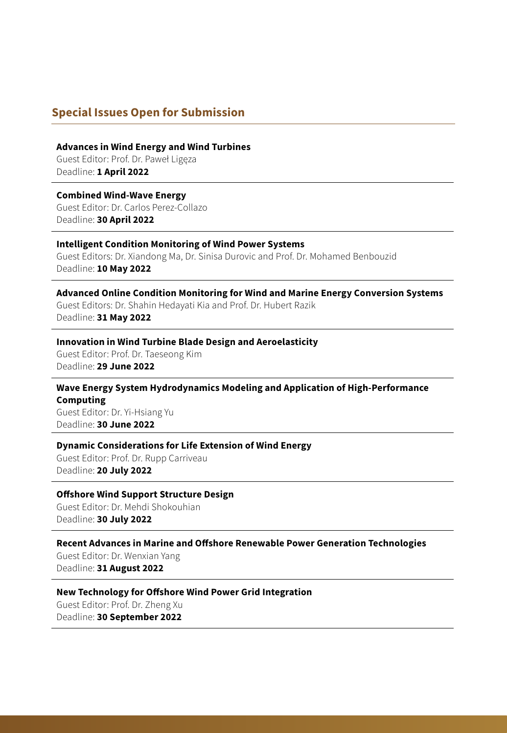## **Special Issues Open for Submission**

**Advances in Wind Energy and Wind Turbines**

Guest Editor: Prof. Dr. Paweł Ligęza Deadline: **1 April 2022**

#### **Combined Wind-Wave Energy**

Guest Editor: Dr. Carlos Perez-Collazo Deadline: **30 April 2022**

#### **Intelligent Condition Monitoring of Wind Power Systems**

Guest Editors: Dr. Xiandong Ma, Dr. Sinisa Durovic and Prof. Dr. Mohamed Benbouzid Deadline: **10 May 2022**

#### **Advanced Online Condition Monitoring for Wind and Marine Energy Conversion Systems** Guest Editors: Dr. Shahin Hedayati Kia and Prof. Dr. Hubert Razik Deadline: **31 May 2022**

#### **Innovation in Wind Turbine Blade Design and Aeroelasticity**

Guest Editor: Prof. Dr. Taeseong Kim Deadline: **29 June 2022**

#### **Wave Energy System Hydrodynamics Modeling and Application of High-Performance Computing**

Guest Editor: Dr. Yi-Hsiang Yu Deadline: **30 June 2022**

#### **Dynamic Considerations for Life Extension of Wind Energy**

Guest Editor: Prof. Dr. Rupp Carriveau Deadline: **20 July 2022**

#### **Offshore Wind Support Structure Design**

Guest Editor: Dr. Mehdi Shokouhian Deadline: **30 July 2022**

#### **Recent Advances in Marine and Offshore Renewable Power Generation Technologies**

Guest Editor: Dr. Wenxian Yang Deadline: **31 August 2022**

#### **New Technology for Offshore Wind Power Grid Integration**

Guest Editor: Prof. Dr. Zheng Xu Deadline: **30 September 2022**